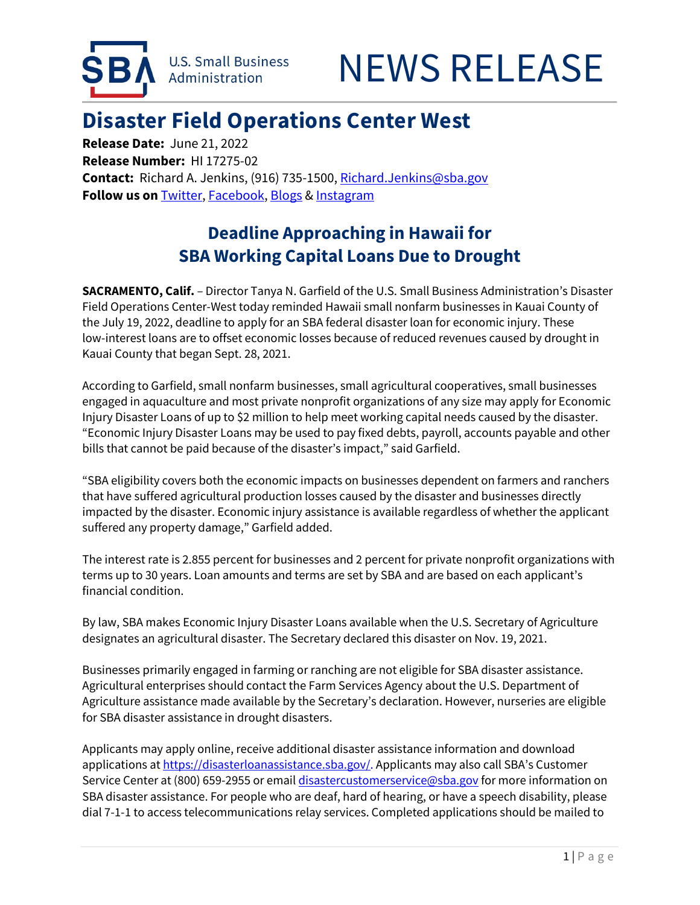



## **Disaster Field Operations Center West Release Date: June 21, 2022**

 **Contact:** Richard A. Jenkins, (916) 735-1500[, Richard.Jenkins@sba.gov](mailto:Richard.Jenkins@sba.gov)  **Release Number:** HI 17275-02 **Follow us on** [Twitter,](http://www.twitter.com/SBAgov) [Facebook,](http://www.facebook.com/sbagov) [Blogs](http://www.sba.gov/blogs) [& Instagram](https://www.instagram.com/sbagov/) 

## **SBA Working Capital Loans Due to Drought Deadline Approaching in Hawaii for**

**SACRAMENTO, Calif.** – Director Tanya N. Garfield of the U.S. Small Business Administration's Disaster Field Operations Center-West today reminded Hawaii small nonfarm businesses in Kauai County of the July 19, 2022, deadline to apply for an SBA federal disaster loan for economic injury. These low-interest loans are to offset economic losses because of reduced revenues caused by drought in Kauai County that began Sept. 28, 2021.

According to Garfield, small nonfarm businesses, small agricultural cooperatives, small businesses engaged in aquaculture and most private nonprofit organizations of any size may apply for Economic Injury Disaster Loans of up to \$2 million to help meet working capital needs caused by the disaster. "Economic Injury Disaster Loans may be used to pay fixed debts, payroll, accounts payable and other bills that cannot be paid because of the disaster's impact," said Garfield.

"SBA eligibility covers both the economic impacts on businesses dependent on farmers and ranchers that have suffered agricultural production losses caused by the disaster and businesses directly impacted by the disaster. Economic injury assistance is available regardless of whether the applicant suffered any property damage," Garfield added.

 The interest rate is 2.855 percent for businesses and 2 percent for private nonprofit organizations with terms up to 30 years. Loan amounts and terms are set by SBA and are based on each applicant's financial condition.

By law, SBA makes Economic Injury Disaster Loans available when the U.S. Secretary of Agriculture designates an agricultural disaster. The Secretary declared this disaster on Nov. 19, 2021.

Businesses primarily engaged in farming or ranching are not eligible for SBA disaster assistance. Agricultural enterprises should contact the Farm Services Agency about the U.S. Department of Agriculture assistance made available by the Secretary's declaration. However, nurseries are eligible for SBA disaster assistance in drought disasters.

Applicants may apply online, receive additional disaster assistance information and download applications a[t https://disasterloanassistance.sba.gov/.](https://disasterloanassistance.sba.gov/) Applicants may also call SBA's Customer Service Center at (800) 659-2955 or emai[l disastercustomerservice@sba.gov f](mailto:disastercustomerservice@sba.gov)or more information on SBA disaster assistance. For people who are deaf, hard of hearing, or have a speech disability, please dial 7-1-1 to access telecommunications relay services. Completed applications should be mailed to